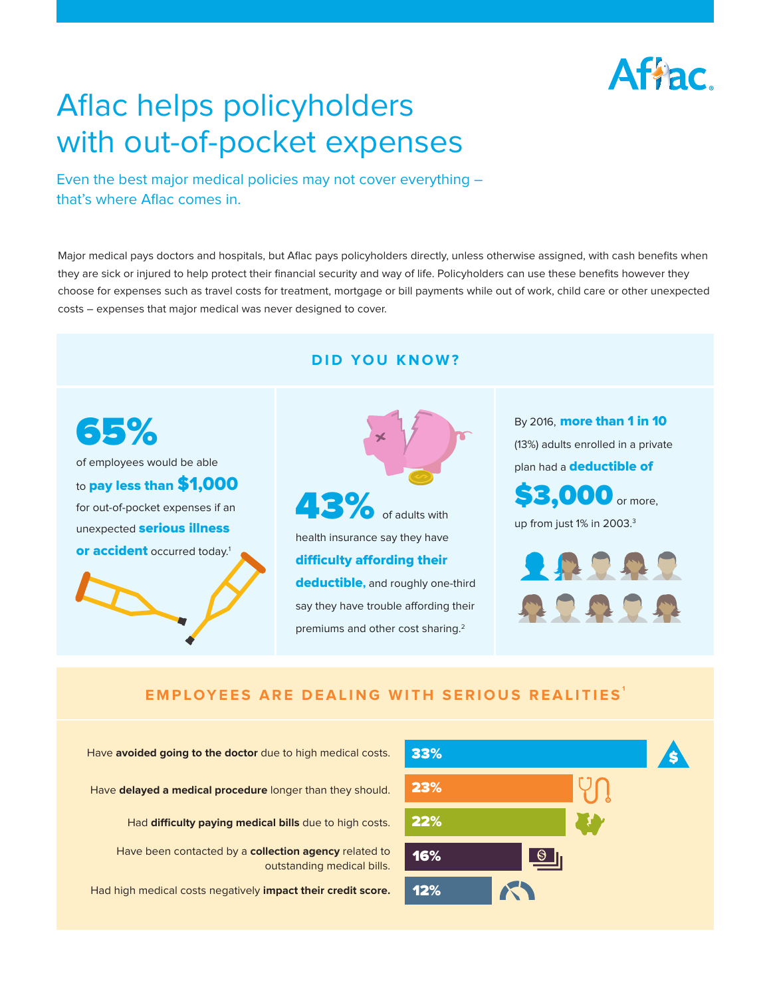# Affac.

# Aflac helps policyholders with out-of-pocket expenses

Even the best major medical policies may not cover everything – that's where Aflac comes in.

Major medical pays doctors and hospitals, but Aflac pays policyholders directly, unless otherwise assigned, with cash benefits when they are sick or injured to help protect their financial security and way of life. Policyholders can use these benefits however they choose for expenses such as travel costs for treatment, mortgage or bill payments while out of work, child care or other unexpected costs – expenses that major medical was never designed to cover.

#### **DID YOU KNOW?**

65% of employees would be able to **pay less than \$1,000** for out-of-pocket expenses if an unexpected **serious illness or accident** occurred today.<sup>1</sup>

43% health insurance say they have **difficulty affording their deductible,** and roughly one-third say they have trouble affording their premiums and other cost sharing.<sup>2</sup>

By 2016, **more than 1 in 10** (13%) adults enrolled in a private plan had a **deductible of**  \$3,000 or more,

up from just 1% in 2003.<sup>3</sup>



#### **EMPLOYEES ARE DEALING WITH SERIOUS REALITIES <sup>1</sup>**

Have **avoided going to the doctor** due to high medical costs. Have **delayed a medical procedure** longer than they should. Had **difficulty paying medical bills** due to high costs. Have been contacted by a **collection agency** related to outstanding medical bills. Had high medical costs negatively **impact their credit score.**